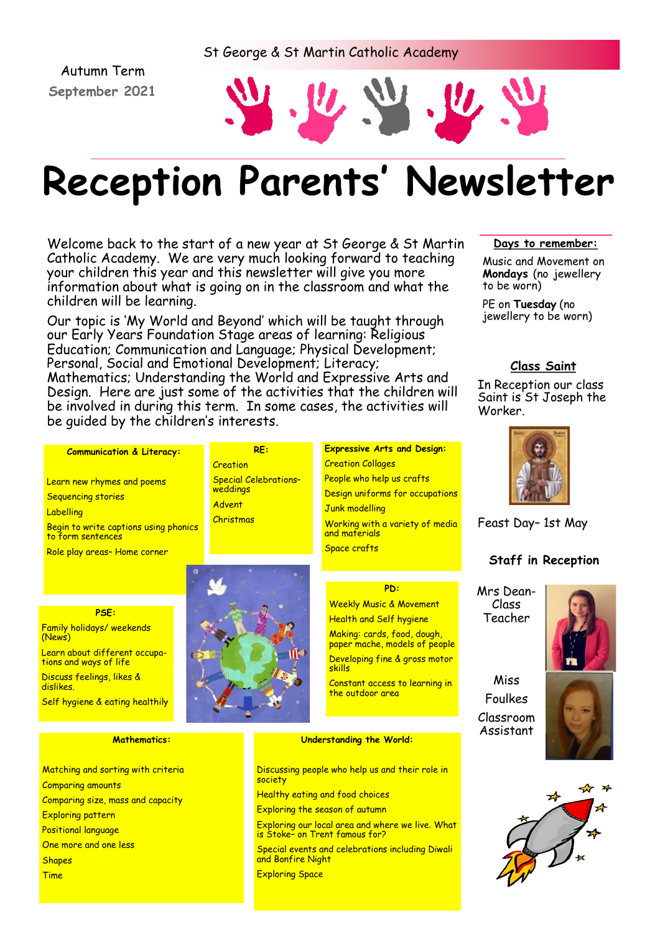# St George & St Martin Catholic Academy

Autumn Term **September 2021**



# **Reception Parents' Newsletter**

Welcome back to the start of a new year at St George & St Martin Catholic Academy. We are very much looking forward to teaching your children this year and this newsletter will give you more information about what is going on in the classroom and what the children will be learning.

Our topic is 'My World and Beyond' which will be taught through our Early Years Foundation Stage areas of learning: Religious Education; Communication and Language; Physical Development; Personal, Social and Emotional Development; Literacy; Mathematics; Understanding the World and Expressive Arts and Design. Here are just some of the activities that the children will be involved in during this term. In some cases, the activities will be guided by the children's interests.

**RE:**

Special Celebrations–

**Creation** 

weddings Advent Christmas

#### **Days to remember:**

Music and Movement on **Mondays** (no jewellery to be worn)

PE on **Tuesday** (no jewellery to be worn)

# **Class Saint**

In Reception our class Saint is St Joseph the Worker.



Feast Day– 1st May

# **Staff in Reception**

Mrs Dean-Class Teacher

Miss Foulkes Classroom Assistant





# and materials Space crafts **PD:**  Weekly Music & Movement Health and Self hygiene

Making: cards, food, dough, paper mache, models of people Developing fine & gross motor skills Constant access to learning in the outdoor area

**Expressive Arts and Design:**

Working with a variety of media

People who help us crafts Design uniforms for occupations

Creation Collages

Junk modelling

#### **Understanding the World:**

Discussing people who help us and their role in society Healthy eating and food choices Exploring the season of autumn

Exploring our local area and where we live. What is Stoke– on Trent famous for?

Special events and celebrations including Diwali and Bonfire Night

Exploring Space

**PSE:**

Role play areas– Home corner

**Communication & Literacy:**

Begin to write captions using phonics

Learn new rhymes and poems

Sequencing stories

to form sentences

**Labelling** 

Family holidays/ weekends (News) Learn about different occupations and ways of life Discuss feelings, likes & dislikes. Self hygiene & eating healthily

#### **Mathematics:**

Matching and sorting with criteria Comparing amounts Comparing size, mass and capacity Exploring pattern Positional language One more and one less **Shapes** Time